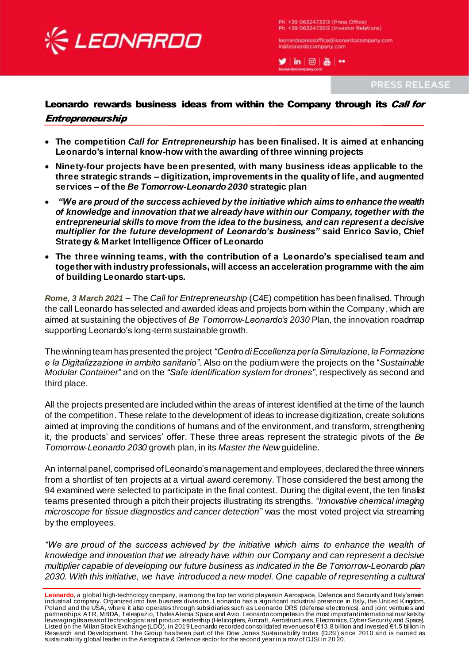

Ph. +39 0632473313 (Press Office) Ph. +39 O632473512 (Investor Relations)

leonardopressoffice@leonardocompany.com



PRESS RELEASE

# Leonardo rewards business ideas from within the Company through its *Call for* Entrepreneurship

- **The competition** *Call for Entrepreneurship* **has been finalised. It is aimed at enhancing Leonardo's internal know-how with the awarding of three winning projects**
- **Ninety-four projects have been presented, with many business ideas applicable to the three strategic strands – digitization, improvements in the quality of life, and augmented services – of the** *Be Tomorrow-Leonardo 2030* **strategic plan**
- *"We are proud of the success achieved by the initiative which aims to enhance the wealth of knowledge and innovation that we already have within our Company, together with the entrepreneurial skills to move from the idea to the business, and can represent a decisive multiplier for the future development of Leonardo's business"* **said Enrico Savio, Chief Strategy & Market Intelligence Officer of Leonardo**
- **The three winning teams, with the contribution of a Leonardo's specialised team and together with industry professionals, will access an acceleration programme with the aim of building Leonardo start-ups.**

*Rome, 3 March 2021* – The *Call for Entrepreneurship* (C4E) competition has been finalised. Through the call Leonardo has selected and awarded ideas and projects born within the Company, which are aimed at sustaining the objectives of *Be Tomorrow-Leonardo's 2030* Plan, the innovation roadmap supporting Leonardo's long-term sustainable growth.

The winning team has presented the project *"Centro di Eccellenza per la Simulazione, la Formazione e la Digitalizzazione in ambito sanitario"*. Also on the podium were the projects on the "*Sustainable Modular Container*" and on the *"Safe identification system for drones"*, respectively as second and third place.

All the projects presented are included within the areas of interest identified at the time of the launch of the competition. These relate to the development of ideas to increase digitization, create solutions aimed at improving the conditions of humans and of the environment, and transform, strengthening it, the products' and services' offer. These three areas represent the strategic pivots of the *Be Tomorrow-Leonardo 2030* growth plan, in its *Master the New* guideline.

An internal panel, comprised of Leonardo's management and employees, declared the three winners from a shortlist of ten projects at a virtual award ceremony. Those considered the best among the 94 examined were selected to participate in the final contest. During the digital event, the ten finalist teams presented through a pitch their projects illustrating its strengths. *"Innovative chemical imaging microscope for tissue diagnostics and cancer detection*" was the most voted project via streaming by the employees.

*"We are proud of the success achieved by the initiative which aims to enhance the wealth of knowledge and innovation that we already have within our Company and can represent a decisive multiplier capable of developing our future business as indicated in the Be Tomorrow-Leonardo plan 2030. With this initiative, we have introduced a new model. One capable of representing a cultural* 

**Leonardo**, a global high-technology company, is among the top ten world players in Aerospace, Defence and Security and Italy's main industrial company. Organized into five business divisions, Leonardo has a significant industrial presence in Italy, the Unit ed Kingdom, Poland and the USA, where it also operates through subsidiaries such as Leonardo DRS (defense electronics), and joint ventures and partnerships: ATR, MBDA, Telespazio, Thales Alenia Space and Avio. Leonardo competes in the most important international markets by leveraging its areas of technological and product leadership (Helicopters, Aircraft, Aerostructures, Electronics, Cyber Security and Space). Listed on the Milan Stock Exchange (LDO), in 2019 Leonardo recorded consolidated revenues of €13.8 billion and invested €1.5 billion in Research and Development. The Group has been part of the Dow Jones Sustainability Index (DJSI) since 2010 and is named as sustainability global leader in the Aerospace & Defence sector for the second year in a row of DJSI in 20 20.